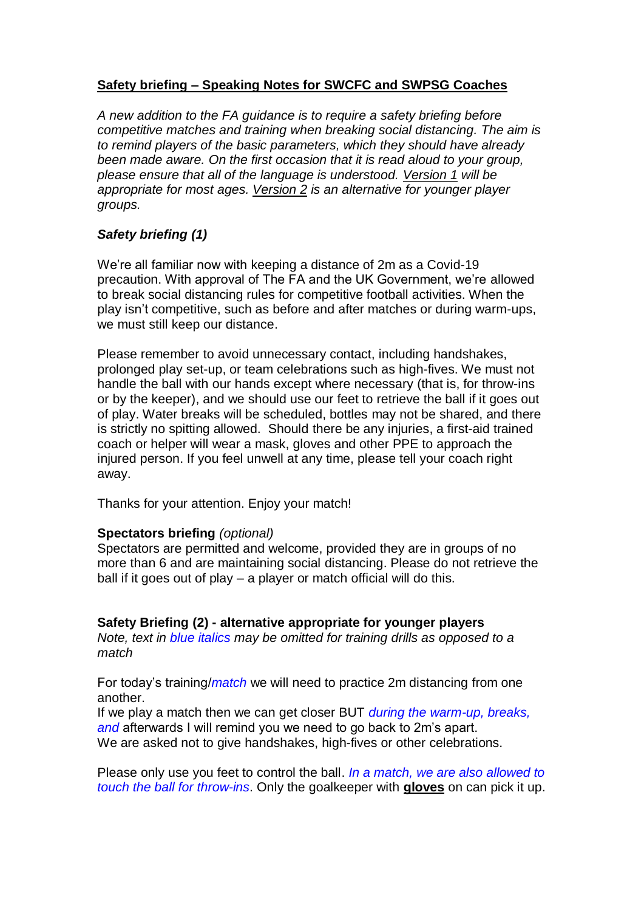## **Safety briefing – Speaking Notes for SWCFC and SWPSG Coaches**

*A new addition to the FA guidance is to require a safety briefing before competitive matches and training when breaking social distancing. The aim is to remind players of the basic parameters, which they should have already been made aware. On the first occasion that it is read aloud to your group, please ensure that all of the language is understood. Version 1 will be appropriate for most ages. Version 2 is an alternative for younger player groups.* 

## *Safety briefing (1)*

We're all familiar now with keeping a distance of 2m as a Covid-19 precaution. With approval of The FA and the UK Government, we're allowed to break social distancing rules for competitive football activities. When the play isn't competitive, such as before and after matches or during warm-ups, we must still keep our distance.

Please remember to avoid unnecessary contact, including handshakes, prolonged play set-up, or team celebrations such as high-fives. We must not handle the ball with our hands except where necessary (that is, for throw-ins or by the keeper), and we should use our feet to retrieve the ball if it goes out of play. Water breaks will be scheduled, bottles may not be shared, and there is strictly no spitting allowed. Should there be any injuries, a first-aid trained coach or helper will wear a mask, gloves and other PPE to approach the injured person. If you feel unwell at any time, please tell your coach right away.

Thanks for your attention. Enjoy your match!

## **Spectators briefing** *(optional)*

Spectators are permitted and welcome, provided they are in groups of no more than 6 and are maintaining social distancing. Please do not retrieve the ball if it goes out of play – a player or match official will do this.

## **Safety Briefing (2) - alternative appropriate for younger players**

*Note, text in blue italics may be omitted for training drills as opposed to a match*

For today's training/*match* we will need to practice 2m distancing from one another.

If we play a match then we can get closer BUT *during the warm-up, breaks, and* afterwards I will remind you we need to go back to 2m's apart. We are asked not to give handshakes, high-fives or other celebrations.

Please only use you feet to control the ball. *In a match, we are also allowed to touch the ball for throw-ins*. Only the goalkeeper with **gloves** on can pick it up.